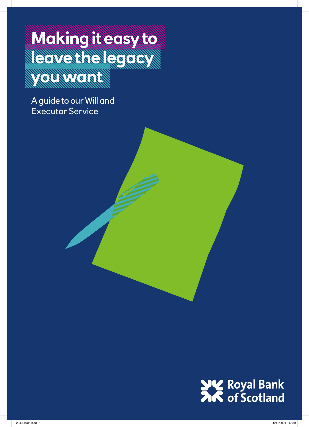# **Making it easy to leave the legacy of the legacy of the legacy of the legacy of the legacy of the legacy of the legacy of the legacy of the legacy of the legacy of the legacy of the legacy of the legacy of the legacy of the legacy of the l you want to be a finding to the common of the common of the common of the common of the common of the common o**

A guide to our Will and Executor Service



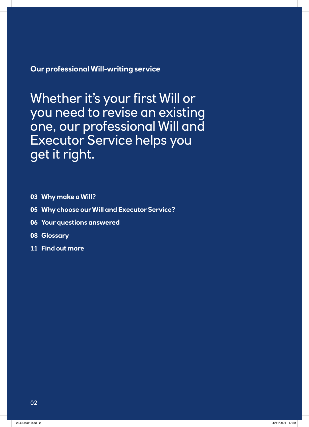**Our professional Will-writing service**

Whether it's your first Will or you need to revise an existing one, our professional Will and Executor Service helps you get it right.

- **03 Why make a Will?**
- **05 Why choose our Will and Executor Service?**
- **06 Your questions answered**
- **08 Glossary**
- **11 Find out more**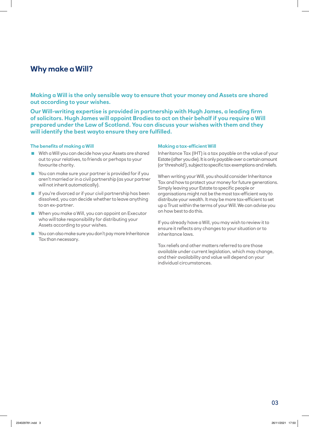### **Why make a Will?**

**Making a Will is the only sensible way to ensure that your money and Assets are shared out according to your wishes.**

**Our Will-writing expertise is provided in partnership with Hugh James, a leading firm of solicitors. Hugh James will appoint Brodies to act on their behalf if you require a Will prepared under the Law of Scotland. You can discuss your wishes with them and they will identify the best wayto ensure they are fulfilled.**

#### **The benefits of making a Will**

- With a Will you can decide how your Assets are shared out to your relatives, to friends or perhaps to your favourite charity.
- You can make sure your partner is provided for if you aren't married or in a civil partnership (as your partner will not inherit automatically).
- **If** you're divorced or if your civil partnership has been dissolved, you can decide whether to leave anything to an ex-partner.
- When you make a Will, you can appoint an Executor who will take responsibility for distributing your Assets according to your wishes.
- You can also make sure you don't pay more Inheritance Tax than necessary.

#### **Making a tax-efficient Will**

Inheritance Tax (IHT) is a tax payable on the value of your Estate (after you die). It is only payable over a certain amount (or 'threshold'), subject to specific tax exemptions and reliefs.

When writing your Will, you should consider Inheritance Tax and how to protect your money for future generations. Simply leaving your Estate to specific people or organisations might not be the most tax-efficient way to distribute your wealth. It may be more tax-efficient to set up a Trust within the terms of your Will. We can advise you on how best to do this.

If you already have a Will, you may wish to review it to ensure it reflects any changes to your situation or to inheritance laws.

Tax reliefs and other matters referred to are those available under current legislation, which may change, and their availability and value will depend on your individual circumstances.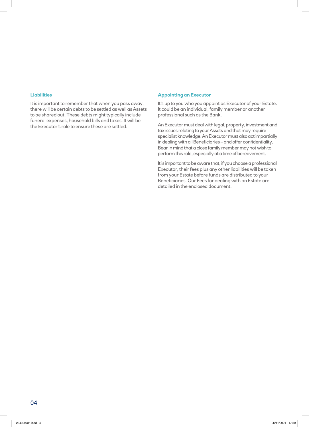#### **Liabilities**

It is important to remember that when you pass away, there will be certain debts to be settled as well as Assets to be shared out. These debts might typically include funeral expenses, household bills and taxes. It will be the Executor's role to ensure these are settled.

#### **Appointing an Executor**

It's up to you who you appoint as Executor of your Estate. It could be an individual, family member or another professional such as the Bank.

An Executor must deal with legal, property, investment and tax issues relating to your Assets and that may require specialist knowledge. An Executor must also act impartially in dealing with all Beneficiaries – and offer confidentiality. Bear in mind that a close family member may not wish to perform this role, especially at a time of bereavement.

It is important to be aware that, if you choose a professional Executor, their fees plus any other liabilities will be taken from your Estate before funds are distributed to your Beneficiaries. Our Fees for dealing with an Estate are detailed in the enclosed document.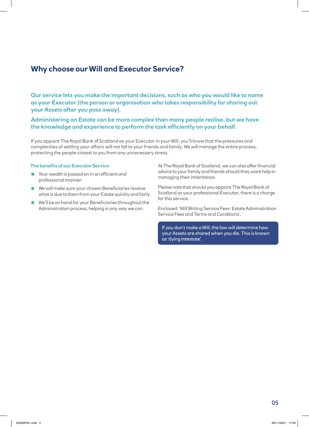## **Why choose our Will and Executor Service?**

**Our service lets you make the important decisions, such as who you would like to name as your Executor (the person or organisation who takes responsibility for sharing out your Assets after you pass away).** 

#### **Administering an Estate can be more complex than many people realise, but we have the knowledge and experience to perform the task efficiently on your behalf.**

If you appoint The Royal Bank of Scotland as your Executor in your Will, you'll know that the pressures and complexities of settling your affairs will not fall to your friends and family. We will manage the entire process, protecting the people closest to you from any unnecessary stress.

#### **The benefits of our Executor Service**

- Your wealth is passed on in an efficient and professional manner.
- We will make sure your chosen Beneficiaries receive what is due to them from your Estate quickly and fairly.
- We'll be on hand for your Beneficiaries throughout the Administration process, helping in any way we can.

At The Royal Bank of Scotland, we can also offer financial advice to your family and friends should they want help in managing their inheritance.

Please note that should you appoint The Royal Bank of Scotland as your professional Executor, there is a charge for this service.

Enclosed: 'Will Writing Service Fees. Estate Administration Service Fees and Terms and Conditions'.

If you don't make a Will, the law will determine how your Assets are shared when you die. This is known as 'dying Intestate'.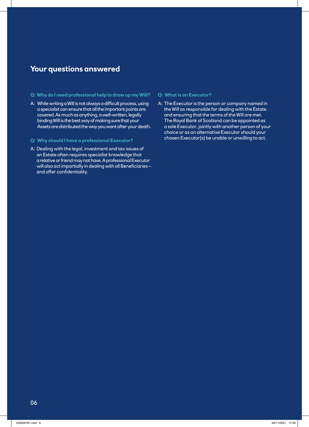## **Your questions answered**

#### **Q: Why do I need professional help to draw up my Will?**

A: While writing a Will is not always a difficult process, using a specialist can ensure that all the important points are covered. As much as anything, a well-written, legally binding Will is the best way of making sure that your Assets are distributed the way you want after your death.

#### **Q: Why should I have a professional Executor?**

A: Dealing with the legal, investment and tax issues of an Estate often requires specialist knowledge that a relative or friend may not have. A professional Executor will also act impartially in dealing with all Beneficiaries – and offer confidentiality.

#### **Q: What is an Executor?**

A: The Executor is the person or company named in the Will as responsible for dealing with the Estate and ensuring that the terms of the Will are met. The Royal Bank of Scotland can be appointed as a sole Executor, jointly with another person of your choice or as an alternative Executor should your chosen Executor(s) be unable or unwilling to act.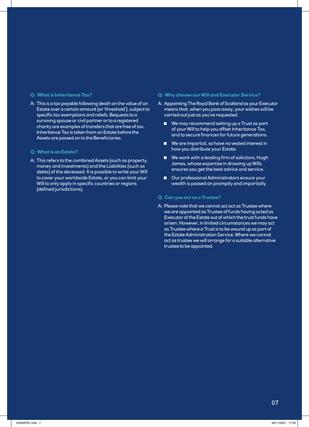#### **Q: What is Inheritance Tax?**

A: This is a tax payable following death on the value of an Estate over a certain amount (or 'threshold'), subject to specific tax exemptions and reliefs. Bequests to a surviving spouse or civil partner or to a registered charity are examples of transfers that are free of tax. Inheritance Tax is taken from an Estate before the Assets are passed on to the Beneficiaries.

#### **Q: What is an Estate?**

A: This refers to the combined Assets (such as property, money and investments) and the Liabilities (such as debts) of the deceased. It is possible to write your Will to cover your worldwide Estate, or you can limit your Will to only apply in specific countries or regions (defined jurisdictions).

#### **Q: Why choose our Will and Executor Service?**

- A: Appointing The Royal Bank of Scotland as your Executor means that, when you pass away, your wishes will be carried out just as you've requested.
	- We may recommend setting up a Trust as part of your Will to help you offset Inheritance Tax, and to secure finances for future generations.
	- We are impartial, so have no vested interest in how you distribute your Estate.
	- We work with a leading firm of solicitors, Hugh James, whose expertise in drawing up Wills ensures you get the best advice and service.
	- Our professional Administrators ensure your wealth is passed on promptly and impartially.

#### **Q: Can you act as a Trustee?**

A: Please note that we cannot act act as Trustee where we are appointed as Trustee of funds having acted as Executor of the Estate out of which the trust funds have arisen. However, in limited circumstances we may act as Trustee where a Trust is to be wound up as part of the Estate Administration Service. Where we cannot act as trustee we will arrange for a suitable alternative trustee to be appointed.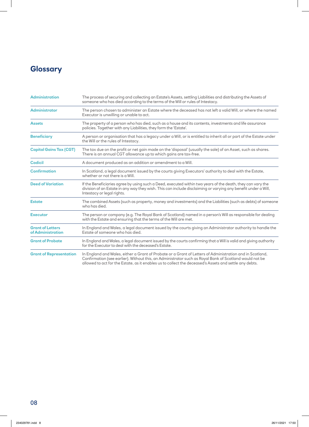## **Glossary**

| <b>Administration</b>                        | The process of securing and collecting an Estate's Assets, settling Liabilities and distributing the Assets of<br>someone who has died according to the terms of the Will or rules of Intestacy.                                                                                                                             |
|----------------------------------------------|------------------------------------------------------------------------------------------------------------------------------------------------------------------------------------------------------------------------------------------------------------------------------------------------------------------------------|
| <b>Administrator</b>                         | The person chosen to administer an Estate where the deceased has not left a valid Will, or where the named<br>Executor is unwilling or unable to act.                                                                                                                                                                        |
| <b>Assets</b>                                | The property of a person who has died, such as a house and its contents, investments and life assurance<br>policies. Together with any Liabilities, they form the 'Estate'.                                                                                                                                                  |
| <b>Beneficiary</b>                           | A person or organisation that has a legacy under a Will, or is entitled to inherit all or part of the Estate under<br>the Will or the rules of Intestacy.                                                                                                                                                                    |
| <b>Capital Gains Tax (CGT)</b>               | The tax due on the profit or net gain made on the 'disposal' (usually the sale) of an Asset, such as shares.<br>There is an annual CGT allowance up to which gains are tax-free.                                                                                                                                             |
| <b>Codicil</b>                               | A document produced as an addition or amendment to a Will.                                                                                                                                                                                                                                                                   |
| <b>Confirmation</b>                          | In Scotland, a legal document issued by the courts giving Executors' authority to deal with the Estate,<br>whether or not there is a Will.                                                                                                                                                                                   |
| <b>Deed of Variation</b>                     | If the Beneficiaries agree by using such a Deed, executed within two years of the death, they can vary the<br>division of an Estate in any way they wish. This can include disclaiming or varying any benefit under a Will,<br>Intestacy or legal rights.                                                                    |
| <b>Estate</b>                                | The combined Assets (such as property, money and investments) and the Liabilities (such as debts) of someone<br>who has died.                                                                                                                                                                                                |
| <b>Executor</b>                              | The person or company (e.g. The Royal Bank of Scotland) named in a person's Will as responsible for dealing<br>with the Estate and ensuring that the terms of the Will are met.                                                                                                                                              |
| <b>Grant of Letters</b><br>of Administration | In England and Wales, a legal document issued by the courts giving an Administrator authority to handle the<br>Estate of someone who has died.                                                                                                                                                                               |
| <b>Grant of Probate</b>                      | In England and Wales, a legal document issued by the courts confirming that a Will is valid and giving authority<br>for the Executor to deal with the deceased's Estate.                                                                                                                                                     |
| <b>Grant of Representation</b>               | In England and Wales, either a Grant of Probate or a Grant of Letters of Administration and in Scotland,<br>Confirmation (see earlier). Without this, an Administrator such as Royal Bank of Scotland would not be<br>allowed to act for the Estate, as it enables us to collect the deceased's Assets and settle any debts. |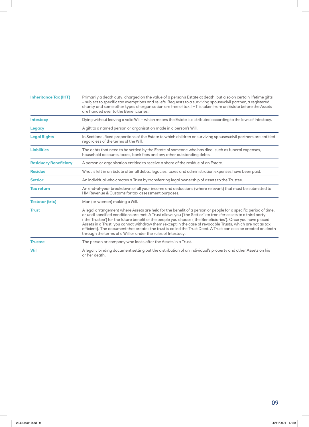| <b>Inheritance Tax (IHT)</b> | Primarily a death duty, charged on the value of a person's Estate at death, but also on certain lifetime gifts<br>– subject to specific tax exemptions and reliefs. Bequests to a surviving spouse/civil partner, a registered<br>charity and some other types of organisation are free of tax. IHT is taken from an Estate before the Assets<br>are handed over to the Beneficiaries.                                                                                                                                                                                                                                                        |
|------------------------------|-----------------------------------------------------------------------------------------------------------------------------------------------------------------------------------------------------------------------------------------------------------------------------------------------------------------------------------------------------------------------------------------------------------------------------------------------------------------------------------------------------------------------------------------------------------------------------------------------------------------------------------------------|
| <b>Intestacy</b>             | Dying without leaving a valid Will – which means the Estate is distributed according to the laws of Intestacy.                                                                                                                                                                                                                                                                                                                                                                                                                                                                                                                                |
| <b>Legacy</b>                | A gift to a named person or organisation made in a person's Will.                                                                                                                                                                                                                                                                                                                                                                                                                                                                                                                                                                             |
| <b>Legal Rights</b>          | In Scotland, fixed proportions of the Estate to which children or surviving spouses/civil partners are entitled<br>regardless of the terms of the Will.                                                                                                                                                                                                                                                                                                                                                                                                                                                                                       |
| <b>Liabilities</b>           | The debts that need to be settled by the Estate of someone who has died, such as funeral expenses,<br>household accounts, taxes, bank fees and any other outstanding debts.                                                                                                                                                                                                                                                                                                                                                                                                                                                                   |
| <b>Residuary Beneficiary</b> | A person or organisation entitled to receive a share of the residue of an Estate.                                                                                                                                                                                                                                                                                                                                                                                                                                                                                                                                                             |
| <b>Residue</b>               | What is left in an Estate after all debts, legacies, taxes and administration expenses have been paid.                                                                                                                                                                                                                                                                                                                                                                                                                                                                                                                                        |
| <b>Settlor</b>               | An individual who creates a Trust by transferring legal ownership of assets to the Trustee.                                                                                                                                                                                                                                                                                                                                                                                                                                                                                                                                                   |
| <b>Tax return</b>            | An end-of-year breakdown of all your income and deductions (where relevant) that must be submitted to<br>HM Revenue & Customs for tax assessment purposes.                                                                                                                                                                                                                                                                                                                                                                                                                                                                                    |
| <b>Testator (trix)</b>       | Man (or woman) making a Will.                                                                                                                                                                                                                                                                                                                                                                                                                                                                                                                                                                                                                 |
| <b>Trust</b>                 | A legal arrangement where Assets are held for the benefit of a person or people for a specific period of time,<br>or until specified conditions are met. A Trust allows you ('the Settlor') to transfer assets to a third party<br>('the Trustee') for the future benefit of the people you choose ('the Beneficiaries'). Once you have placed<br>Assets in a Trust, you cannot withdraw them (except in the case of revocable Trusts, which are not as tax<br>efficient). The document that creates the trust is called the Trust Deed. A Trust can also be created on death<br>through the terms of a Will or under the rules of Intestacy. |
| <b>Trustee</b>               | The person or company who looks after the Assets in a Trust.                                                                                                                                                                                                                                                                                                                                                                                                                                                                                                                                                                                  |
| <b>Will</b>                  | A legally binding document setting out the distribution of an individual's property and other Assets on his<br>or her death.                                                                                                                                                                                                                                                                                                                                                                                                                                                                                                                  |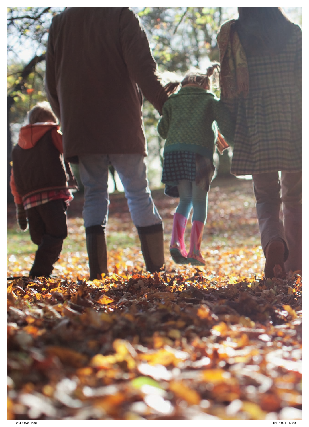